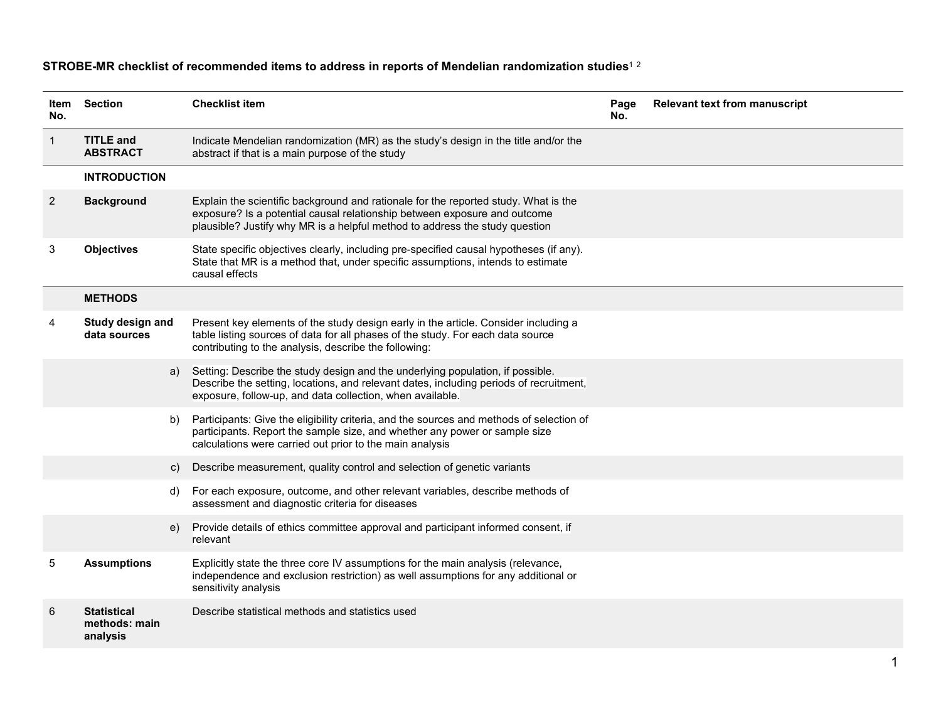| ltem<br>No.    | Section                                         | <b>Checklist item</b>                                                                                                                                                                                                                           | Page<br>No. | <b>Relevant text from manuscript</b> |
|----------------|-------------------------------------------------|-------------------------------------------------------------------------------------------------------------------------------------------------------------------------------------------------------------------------------------------------|-------------|--------------------------------------|
| $\mathbf 1$    | <b>TITLE and</b><br><b>ABSTRACT</b>             | Indicate Mendelian randomization (MR) as the study's design in the title and/or the<br>abstract if that is a main purpose of the study                                                                                                          |             |                                      |
|                | <b>INTRODUCTION</b>                             |                                                                                                                                                                                                                                                 |             |                                      |
| $\overline{c}$ | <b>Background</b>                               | Explain the scientific background and rationale for the reported study. What is the<br>exposure? Is a potential causal relationship between exposure and outcome<br>plausible? Justify why MR is a helpful method to address the study question |             |                                      |
| 3              | <b>Objectives</b>                               | State specific objectives clearly, including pre-specified causal hypotheses (if any).<br>State that MR is a method that, under specific assumptions, intends to estimate<br>causal effects                                                     |             |                                      |
|                | <b>METHODS</b>                                  |                                                                                                                                                                                                                                                 |             |                                      |
| 4              | Study design and<br>data sources                | Present key elements of the study design early in the article. Consider including a<br>table listing sources of data for all phases of the study. For each data source<br>contributing to the analysis, describe the following:                 |             |                                      |
|                | a)                                              | Setting: Describe the study design and the underlying population, if possible.<br>Describe the setting, locations, and relevant dates, including periods of recruitment,<br>exposure, follow-up, and data collection, when available.           |             |                                      |
|                | b)                                              | Participants: Give the eligibility criteria, and the sources and methods of selection of<br>participants. Report the sample size, and whether any power or sample size<br>calculations were carried out prior to the main analysis              |             |                                      |
|                | C)                                              | Describe measurement, quality control and selection of genetic variants                                                                                                                                                                         |             |                                      |
|                | d)                                              | For each exposure, outcome, and other relevant variables, describe methods of<br>assessment and diagnostic criteria for diseases                                                                                                                |             |                                      |
|                | e)                                              | Provide details of ethics committee approval and participant informed consent, if<br>relevant                                                                                                                                                   |             |                                      |
| 5              | <b>Assumptions</b>                              | Explicitly state the three core IV assumptions for the main analysis (relevance,<br>independence and exclusion restriction) as well assumptions for any additional or<br>sensitivity analysis                                                   |             |                                      |
| 6              | <b>Statistical</b><br>methods: main<br>analysis | Describe statistical methods and statistics used                                                                                                                                                                                                |             |                                      |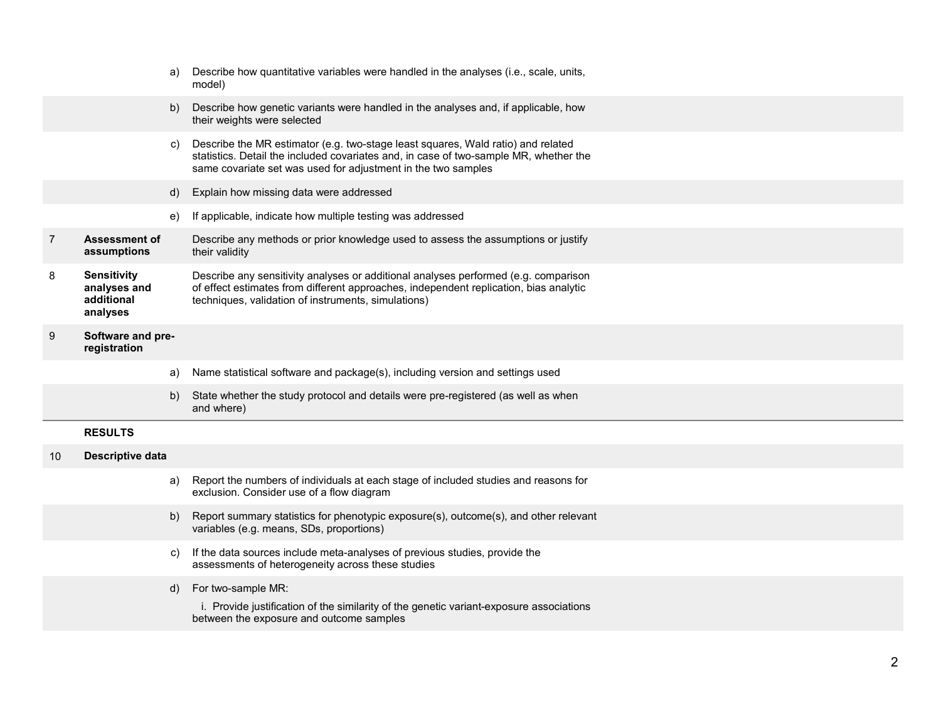|    |                                                              | a) | Describe how quantitative variables were handled in the analyses (i.e., scale, units,<br>model)                                                                                                                                            |
|----|--------------------------------------------------------------|----|--------------------------------------------------------------------------------------------------------------------------------------------------------------------------------------------------------------------------------------------|
|    |                                                              | b) | Describe how genetic variants were handled in the analyses and, if applicable, how<br>their weights were selected                                                                                                                          |
|    |                                                              | C) | Describe the MR estimator (e.g. two-stage least squares, Wald ratio) and related<br>statistics. Detail the included covariates and, in case of two-sample MR, whether the<br>same covariate set was used for adjustment in the two samples |
|    |                                                              | d) | Explain how missing data were addressed                                                                                                                                                                                                    |
|    |                                                              | e) | If applicable, indicate how multiple testing was addressed                                                                                                                                                                                 |
| 7  | <b>Assessment of</b><br>assumptions                          |    | Describe any methods or prior knowledge used to assess the assumptions or justify<br>their validity                                                                                                                                        |
| 8  | <b>Sensitivity</b><br>analyses and<br>additional<br>analyses |    | Describe any sensitivity analyses or additional analyses performed (e.g. comparison<br>of effect estimates from different approaches, independent replication, bias analytic<br>techniques, validation of instruments, simulations)        |
| 9  | Software and pre-<br>registration                            |    |                                                                                                                                                                                                                                            |
|    |                                                              | a) | Name statistical software and package(s), including version and settings used                                                                                                                                                              |
|    |                                                              | b) | State whether the study protocol and details were pre-registered (as well as when<br>and where)                                                                                                                                            |
|    | <b>RESULTS</b>                                               |    |                                                                                                                                                                                                                                            |
| 10 | <b>Descriptive data</b>                                      |    |                                                                                                                                                                                                                                            |
|    |                                                              | a) | Report the numbers of individuals at each stage of included studies and reasons for<br>exclusion. Consider use of a flow diagram                                                                                                           |
|    |                                                              | b) | Report summary statistics for phenotypic exposure(s), outcome(s), and other relevant<br>variables (e.g. means, SDs, proportions)                                                                                                           |
|    |                                                              | C) | If the data sources include meta-analyses of previous studies, provide the<br>assessments of heterogeneity across these studies                                                                                                            |
|    |                                                              | d) | For two-sample MR:                                                                                                                                                                                                                         |
|    |                                                              |    | i. Provide justification of the similarity of the genetic variant-exposure associations<br>between the exposure and outcome samples                                                                                                        |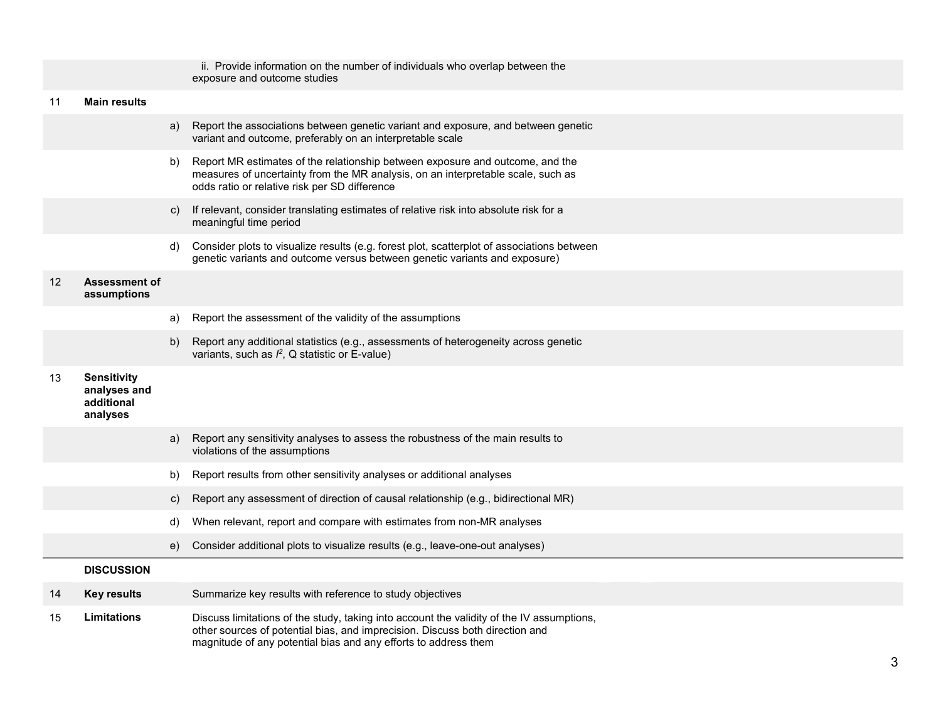|                   |                                                              |    | ii. Provide information on the number of individuals who overlap between the<br>exposure and outcome studies                                                                                                                                 |
|-------------------|--------------------------------------------------------------|----|----------------------------------------------------------------------------------------------------------------------------------------------------------------------------------------------------------------------------------------------|
| 11                | <b>Main results</b>                                          |    |                                                                                                                                                                                                                                              |
|                   |                                                              | a) | Report the associations between genetic variant and exposure, and between genetic<br>variant and outcome, preferably on an interpretable scale                                                                                               |
|                   |                                                              | b) | Report MR estimates of the relationship between exposure and outcome, and the<br>measures of uncertainty from the MR analysis, on an interpretable scale, such as<br>odds ratio or relative risk per SD difference                           |
|                   |                                                              | C) | If relevant, consider translating estimates of relative risk into absolute risk for a<br>meaningful time period                                                                                                                              |
|                   |                                                              | d) | Consider plots to visualize results (e.g. forest plot, scatterplot of associations between<br>genetic variants and outcome versus between genetic variants and exposure)                                                                     |
| $12 \overline{ }$ | <b>Assessment of</b><br>assumptions                          |    |                                                                                                                                                                                                                                              |
|                   |                                                              | a) | Report the assessment of the validity of the assumptions                                                                                                                                                                                     |
|                   |                                                              | b) | Report any additional statistics (e.g., assessments of heterogeneity across genetic<br>variants, such as $l^2$ , Q statistic or E-value)                                                                                                     |
| 13                | <b>Sensitivity</b><br>analyses and<br>additional<br>analyses |    |                                                                                                                                                                                                                                              |
|                   |                                                              | a) | Report any sensitivity analyses to assess the robustness of the main results to<br>violations of the assumptions                                                                                                                             |
|                   |                                                              | b) | Report results from other sensitivity analyses or additional analyses                                                                                                                                                                        |
|                   |                                                              | C) | Report any assessment of direction of causal relationship (e.g., bidirectional MR)                                                                                                                                                           |
|                   |                                                              | d) | When relevant, report and compare with estimates from non-MR analyses                                                                                                                                                                        |
|                   |                                                              | e) | Consider additional plots to visualize results (e.g., leave-one-out analyses)                                                                                                                                                                |
|                   | <b>DISCUSSION</b>                                            |    |                                                                                                                                                                                                                                              |
| 14                | <b>Key results</b>                                           |    | Summarize key results with reference to study objectives                                                                                                                                                                                     |
| 15                | Limitations                                                  |    | Discuss limitations of the study, taking into account the validity of the IV assumptions,<br>other sources of potential bias, and imprecision. Discuss both direction and<br>magnitude of any potential bias and any efforts to address them |